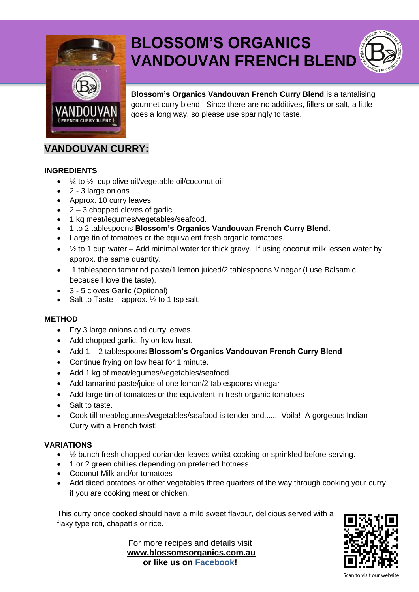

# **BLOSSOM'S ORGANICS VANDOUVAN FRENCH BLEND**

**Blossom's Organics Vandouvan French Curry Blend** is a tantalising gourmet curry blend –Since there are no additives, fillers or salt, a little goes a long way, so please use sparingly to taste.

# **VANDOUVAN CURRY:**

#### **INGREDIENTS**

- $\bullet$   $\frac{1}{4}$  to  $\frac{1}{2}$  cup olive oil/vegetable oil/coconut oil
- 2 3 large onions
- Approx. 10 curry leaves
- $\bullet$  2 3 chopped cloves of garlic
- 1 kg meat/legumes/vegetables/seafood.
- 1 to 2 tablespoons **Blossom's Organics Vandouvan French Curry Blend.**
- Large tin of tomatoes or the equivalent fresh organic tomatoes.
- $\bullet$   $\frac{1}{2}$  to 1 cup water Add minimal water for thick gravy. If using coconut milk lessen water by approx. the same quantity.
- 1 tablespoon tamarind paste/1 lemon juiced/2 tablespoons Vinegar (I use Balsamic because I love the taste).
- 3 5 cloves Garlic (Optional)
- Salt to Taste approx.  $\frac{1}{2}$  to 1 tsp salt.

#### **METHOD**

- Fry 3 large onions and curry leaves.
- Add chopped garlic, fry on low heat.
- Add 1 2 tablespoons **Blossom's Organics Vandouvan French Curry Blend**
- Continue frying on low heat for 1 minute.
- Add 1 kg of meat/legumes/vegetables/seafood.
- Add tamarind paste/juice of one lemon/2 tablespoons vinegar
- Add large tin of tomatoes or the equivalent in fresh organic tomatoes
- Salt to taste.
- Cook till meat/legumes/vegetables/seafood is tender and....... Voila! A gorgeous Indian Curry with a French twist!

#### **VARIATIONS**

- 1/2 bunch fresh chopped coriander leaves whilst cooking or sprinkled before serving.
- 1 or 2 green chillies depending on preferred hotness.
- Coconut Milk and/or tomatoes
- Add diced potatoes or other vegetables three quarters of the way through cooking your curry if you are cooking meat or chicken.

This curry once cooked should have a mild sweet flavour, delicious served with a flaky type roti, chapattis or rice.

For more recipes and details visit **[www.blossomsorganics.com.au](http://www.blossomsorganics.com.au/) or like us on Facebook!**